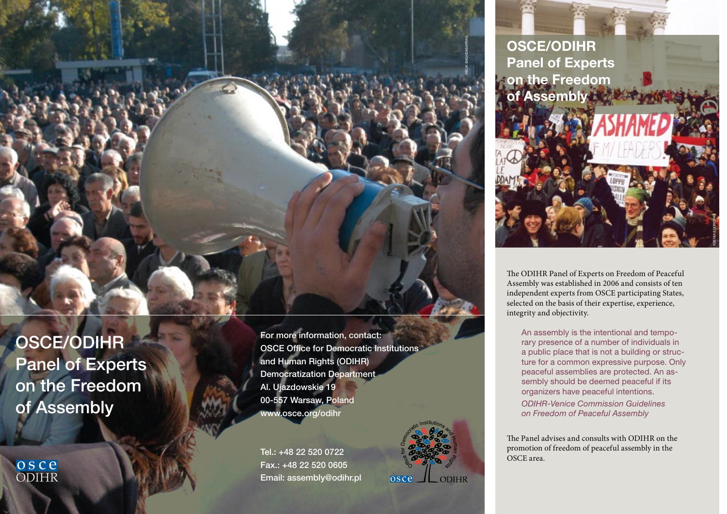OSCE/ODIHR Panel of Experts on the Freedom of Assembly

OSC<sub>e</sub>

For more information, contact: OSCE Office for Democratic Institutions and Human Rights (ODIHR) Democratization Department Al. Ujazdowskie 19 00-557 Warsaw, Poland www.osce.org/odihr

Tel.: +48 22 520 0722 Fax.: +48 22 520 0605 Email: assembly@odihr.pl



Melik Baghdasaryan



The ODIHR Panel of Experts on Freedom of Peaceful Assembly was established in 2006 and consists of ten independent experts from OSCE participating States, selected on the basis of their expertise, experience, integrity and objectivity.

An assembly is the intentional and temporary presence of a number of individuals in a public place that is not a building or structure for a common expressive purpose. Only peaceful assemblies are protected. An assembly should be deemed peaceful if its organizers have peaceful intentions.

*ODIHR-Venice Commission Guidelines on Freedom of Peaceful Assembly*

The Panel advises and consults with ODIHR on the promotion of freedom of peaceful assembly in the OSCE area.